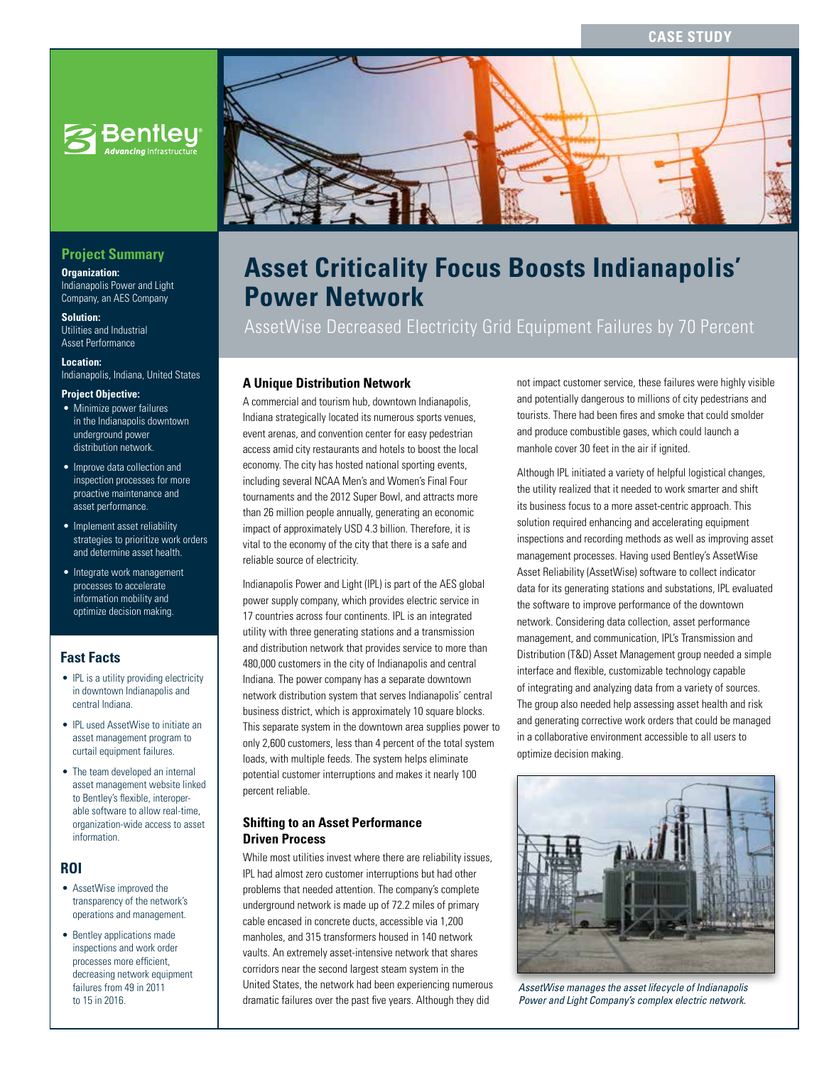# **CASE STUDY**



# **Project Summary**

**Organization:** 

Indianapolis Power and Light Company, an AES Company

**Solution:**  Utilities and Industrial Asset Performance

**Location:** 

Indianapolis, Indiana, United States

## **Project Objective:**

- Minimize power failures in the Indianapolis downtown underground power distribution network.
- Improve data collection and inspection processes for more proactive maintenance and asset performance.
- Implement asset reliability strategies to prioritize work orders and determine asset health.
- Integrate work management processes to accelerate information mobility and optimize decision making.

# **Fast Facts**

- IPL is a utility providing electricity in downtown Indianapolis and central Indiana.
- IPL used AssetWise to initiate an asset management program to curtail equipment failures.
- The team developed an internal asset management website linked to Bentley's flexible, interoperable software to allow real-time, organization-wide access to asset information.

#### **ROI**

- AssetWise improved the transparency of the network's operations and management.
- Bentley applications made inspections and work order processes more efficient, decreasing network equipment failures from 49 in 2011 to 15 in 2016.



# **Asset Criticality Focus Boosts Indianapolis' Power Network**

AssetWise Decreased Electricity Grid Equipment Failures by 70 Percent

#### **A Unique Distribution Network**

A commercial and tourism hub, downtown Indianapolis, Indiana strategically located its numerous sports venues, event arenas, and convention center for easy pedestrian access amid city restaurants and hotels to boost the local economy. The city has hosted national sporting events, including several NCAA Men's and Women's Final Four tournaments and the 2012 Super Bowl, and attracts more than 26 million people annually, generating an economic impact of approximately USD 4.3 billion. Therefore, it is vital to the economy of the city that there is a safe and reliable source of electricity.

Indianapolis Power and Light (IPL) is part of the AES global power supply company, which provides electric service in 17 countries across four continents. IPL is an integrated utility with three generating stations and a transmission and distribution network that provides service to more than 480,000 customers in the city of Indianapolis and central Indiana. The power company has a separate downtown network distribution system that serves Indianapolis' central business district, which is approximately 10 square blocks. This separate system in the downtown area supplies power to only 2,600 customers, less than 4 percent of the total system loads, with multiple feeds. The system helps eliminate potential customer interruptions and makes it nearly 100 percent reliable.

#### **Shifting to an Asset Performance Driven Process**

While most utilities invest where there are reliability issues, IPL had almost zero customer interruptions but had other problems that needed attention. The company's complete underground network is made up of 72.2 miles of primary cable encased in concrete ducts, accessible via 1,200 manholes, and 315 transformers housed in 140 network vaults. An extremely asset-intensive network that shares corridors near the second largest steam system in the United States, the network had been experiencing numerous dramatic failures over the past five years. Although they did

not impact customer service, these failures were highly visible and potentially dangerous to millions of city pedestrians and tourists. There had been fires and smoke that could smolder and produce combustible gases, which could launch a manhole cover 30 feet in the air if ignited.

Although IPL initiated a variety of helpful logistical changes, the utility realized that it needed to work smarter and shift its business focus to a more asset-centric approach. This solution required enhancing and accelerating equipment inspections and recording methods as well as improving asset management processes. Having used Bentley's AssetWise Asset Reliability (AssetWise) software to collect indicator data for its generating stations and substations, IPL evaluated the software to improve performance of the downtown network. Considering data collection, asset performance management, and communication, IPL's Transmission and Distribution (T&D) Asset Management group needed a simple interface and flexible, customizable technology capable of integrating and analyzing data from a variety of sources. The group also needed help assessing asset health and risk and generating corrective work orders that could be managed in a collaborative environment accessible to all users to optimize decision making.



*AssetWise manages the asset lifecycle of Indianapolis Power and Light Company's complex electric network.*